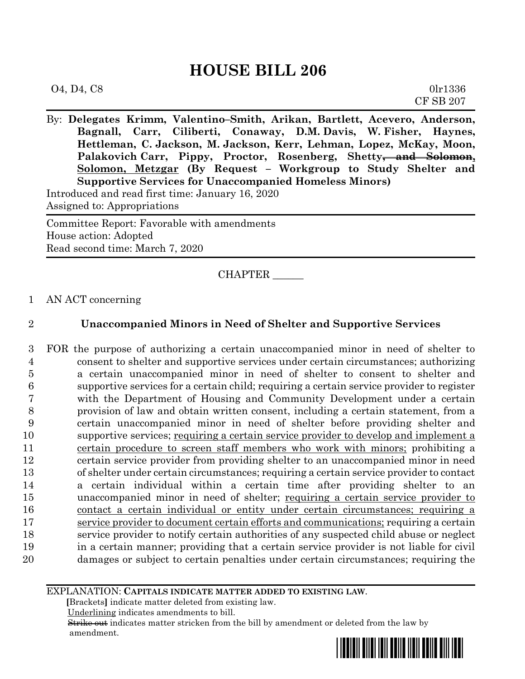# **HOUSE BILL 206**

| O4, D4, C8 | 0lr1336          |
|------------|------------------|
|            | <b>CF SB 207</b> |

By: **Delegates Krimm, Valentino–Smith, Arikan, Bartlett, Acevero, Anderson, Bagnall, Carr, Ciliberti, Conaway, D.M. Davis, W. Fisher, Haynes, Hettleman, C. Jackson, M. Jackson, Kerr, Lehman, Lopez, McKay, Moon, Palakovich Carr, Pippy, Proctor, Rosenberg, Shetty, and Solomon, Solomon, Metzgar (By Request – Workgroup to Study Shelter and Supportive Services for Unaccompanied Homeless Minors)** Introduced and read first time: January 16, 2020

Assigned to: Appropriations

Committee Report: Favorable with amendments House action: Adopted Read second time: March 7, 2020

CHAPTER \_\_\_\_\_\_

1 AN ACT concerning

## 2 **Unaccompanied Minors in Need of Shelter and Supportive Services**

 FOR the purpose of authorizing a certain unaccompanied minor in need of shelter to consent to shelter and supportive services under certain circumstances; authorizing a certain unaccompanied minor in need of shelter to consent to shelter and supportive services for a certain child; requiring a certain service provider to register with the Department of Housing and Community Development under a certain provision of law and obtain written consent, including a certain statement, from a certain unaccompanied minor in need of shelter before providing shelter and supportive services; requiring a certain service provider to develop and implement a certain procedure to screen staff members who work with minors; prohibiting a certain service provider from providing shelter to an unaccompanied minor in need of shelter under certain circumstances; requiring a certain service provider to contact a certain individual within a certain time after providing shelter to an unaccompanied minor in need of shelter; requiring a certain service provider to contact a certain individual or entity under certain circumstances; requiring a service provider to document certain efforts and communications; requiring a certain service provider to notify certain authorities of any suspected child abuse or neglect in a certain manner; providing that a certain service provider is not liable for civil damages or subject to certain penalties under certain circumstances; requiring the

#### EXPLANATION: **CAPITALS INDICATE MATTER ADDED TO EXISTING LAW**.

 **[**Brackets**]** indicate matter deleted from existing law.

Underlining indicates amendments to bill.

 Strike out indicates matter stricken from the bill by amendment or deleted from the law by amendment.

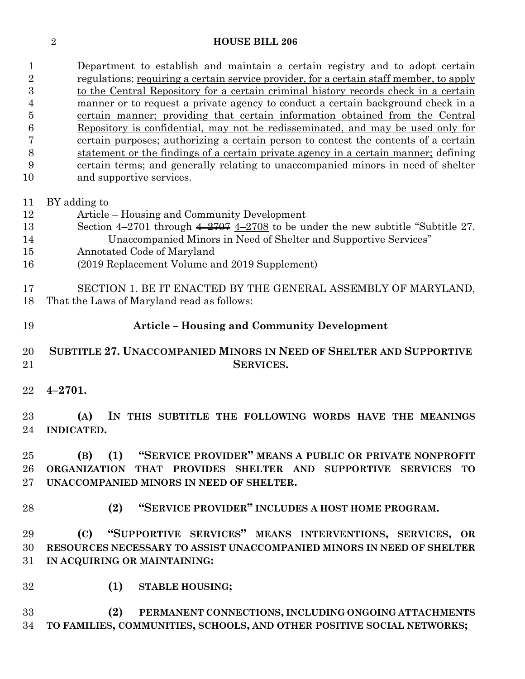#### **HOUSE BILL 206**

 Department to establish and maintain a certain registry and to adopt certain regulations; requiring a certain service provider, for a certain staff member, to apply to the Central Repository for a certain criminal history records check in a certain manner or to request a private agency to conduct a certain background check in a certain manner; providing that certain information obtained from the Central Repository is confidential, may not be redisseminated, and may be used only for certain purposes; authorizing a certain person to contest the contents of a certain statement or the findings of a certain private agency in a certain manner; defining certain terms; and generally relating to unaccompanied minors in need of shelter and supportive services. BY adding to

- Article Housing and Community Development Section 4–2701 through 4–2707 4–2708 to be under the new subtitle "Subtitle 27. Unaccompanied Minors in Need of Shelter and Supportive Services"
- Annotated Code of Maryland
- (2019 Replacement Volume and 2019 Supplement)

 SECTION 1. BE IT ENACTED BY THE GENERAL ASSEMBLY OF MARYLAND, That the Laws of Maryland read as follows:

**Article – Housing and Community Development**

## **SUBTITLE 27. UNACCOMPANIED MINORS IN NEED OF SHELTER AND SUPPORTIVE SERVICES.**

**4–2701.**

 **(A) IN THIS SUBTITLE THE FOLLOWING WORDS HAVE THE MEANINGS INDICATED.**

 **(B) (1) "SERVICE PROVIDER" MEANS A PUBLIC OR PRIVATE NONPROFIT ORGANIZATION THAT PROVIDES SHELTER AND SUPPORTIVE SERVICES TO UNACCOMPANIED MINORS IN NEED OF SHELTER.**

**(2) "SERVICE PROVIDER" INCLUDES A HOST HOME PROGRAM.**

 **(C) "SUPPORTIVE SERVICES" MEANS INTERVENTIONS, SERVICES, OR RESOURCES NECESSARY TO ASSIST UNACCOMPANIED MINORS IN NEED OF SHELTER IN ACQUIRING OR MAINTAINING:**

**(1) STABLE HOUSING;**

 **(2) PERMANENT CONNECTIONS, INCLUDING ONGOING ATTACHMENTS TO FAMILIES, COMMUNITIES, SCHOOLS, AND OTHER POSITIVE SOCIAL NETWORKS;**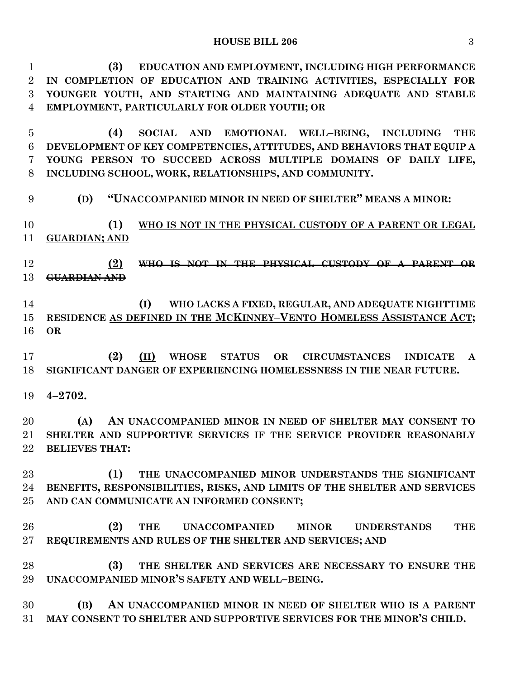**(3) EDUCATION AND EMPLOYMENT, INCLUDING HIGH PERFORMANCE IN COMPLETION OF EDUCATION AND TRAINING ACTIVITIES, ESPECIALLY FOR YOUNGER YOUTH, AND STARTING AND MAINTAINING ADEQUATE AND STABLE EMPLOYMENT, PARTICULARLY FOR OLDER YOUTH; OR**

 **(4) SOCIAL AND EMOTIONAL WELL–BEING, INCLUDING THE DEVELOPMENT OF KEY COMPETENCIES, ATTITUDES, AND BEHAVIORS THAT EQUIP A YOUNG PERSON TO SUCCEED ACROSS MULTIPLE DOMAINS OF DAILY LIFE, INCLUDING SCHOOL, WORK, RELATIONSHIPS, AND COMMUNITY.**

**(D) "UNACCOMPANIED MINOR IN NEED OF SHELTER" MEANS A MINOR:**

 **(1) WHO IS NOT IN THE PHYSICAL CUSTODY OF A PARENT OR LEGAL GUARDIAN; AND**

 **(2) WHO IS NOT IN THE PHYSICAL CUSTODY OF A PARENT OR GUARDIAN AND**

 **(I) WHO LACKS A FIXED, REGULAR, AND ADEQUATE NIGHTTIME**  15 RESIDENCE AS DEFINED IN THE MCKINNEY-VENTO HOMELESS ASSISTANCE ACT; **OR**

 **(2) (II) WHOSE STATUS OR CIRCUMSTANCES INDICATE A SIGNIFICANT DANGER OF EXPERIENCING HOMELESSNESS IN THE NEAR FUTURE.**

**4–2702.**

 **(A) AN UNACCOMPANIED MINOR IN NEED OF SHELTER MAY CONSENT TO SHELTER AND SUPPORTIVE SERVICES IF THE SERVICE PROVIDER REASONABLY BELIEVES THAT:**

 **(1) THE UNACCOMPANIED MINOR UNDERSTANDS THE SIGNIFICANT BENEFITS, RESPONSIBILITIES, RISKS, AND LIMITS OF THE SHELTER AND SERVICES AND CAN COMMUNICATE AN INFORMED CONSENT;**

 **(2) THE UNACCOMPANIED MINOR UNDERSTANDS THE REQUIREMENTS AND RULES OF THE SHELTER AND SERVICES; AND**

 **(3) THE SHELTER AND SERVICES ARE NECESSARY TO ENSURE THE UNACCOMPANIED MINOR'S SAFETY AND WELL–BEING.**

 **(B) AN UNACCOMPANIED MINOR IN NEED OF SHELTER WHO IS A PARENT MAY CONSENT TO SHELTER AND SUPPORTIVE SERVICES FOR THE MINOR'S CHILD.**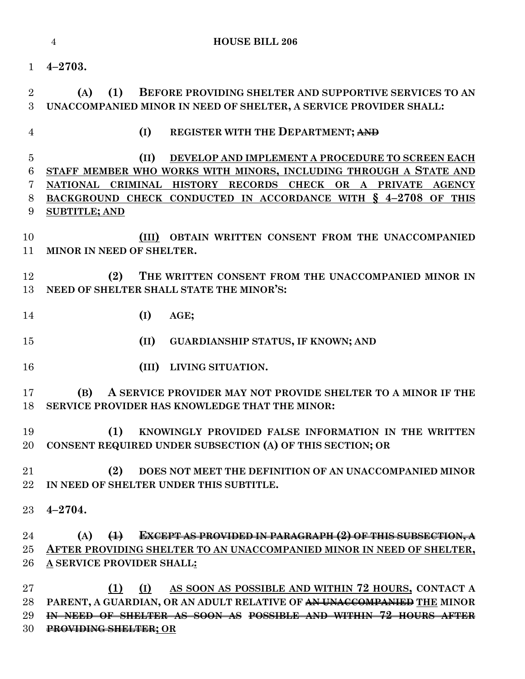| 1                                  | $4 - 2703.$                                                                                                                                                                                                                                                                            |
|------------------------------------|----------------------------------------------------------------------------------------------------------------------------------------------------------------------------------------------------------------------------------------------------------------------------------------|
| $\overline{2}$<br>3                | BEFORE PROVIDING SHELTER AND SUPPORTIVE SERVICES TO AN<br>(1)<br>(A)<br>UNACCOMPANIED MINOR IN NEED OF SHELTER, A SERVICE PROVIDER SHALL:                                                                                                                                              |
| $\overline{4}$                     | (I)<br><b>REGISTER WITH THE DEPARTMENT; AND</b>                                                                                                                                                                                                                                        |
| $\overline{5}$<br>6<br>7<br>8<br>9 | (II)<br>DEVELOP AND IMPLEMENT A PROCEDURE TO SCREEN EACH<br>STAFF MEMBER WHO WORKS WITH MINORS, INCLUDING THROUGH A STATE AND<br>NATIONAL CRIMINAL HISTORY RECORDS CHECK OR A PRIVATE AGENCY<br>BACKGROUND CHECK CONDUCTED IN ACCORDANCE WITH § 4-2708 OF THIS<br><b>SUBTITLE; AND</b> |
| 10<br>11                           | (III) OBTAIN WRITTEN CONSENT FROM THE UNACCOMPANIED<br>MINOR IN NEED OF SHELTER.                                                                                                                                                                                                       |
| 12<br>13                           | THE WRITTEN CONSENT FROM THE UNACCOMPANIED MINOR IN<br>(2)<br>NEED OF SHELTER SHALL STATE THE MINOR'S:                                                                                                                                                                                 |
| 14                                 | (I)<br>AGE;                                                                                                                                                                                                                                                                            |
| 15                                 | (II)<br><b>GUARDIANSHIP STATUS, IF KNOWN; AND</b>                                                                                                                                                                                                                                      |
| 16                                 | (III)<br>LIVING SITUATION.                                                                                                                                                                                                                                                             |
| 17<br>18                           | A SERVICE PROVIDER MAY NOT PROVIDE SHELTER TO A MINOR IF THE<br>(B)<br>SERVICE PROVIDER HAS KNOWLEDGE THAT THE MINOR:                                                                                                                                                                  |
| 19<br>20                           | (1)<br>KNOWINGLY PROVIDED FALSE INFORMATION IN THE WRITTEN<br>CONSENT REQUIRED UNDER SUBSECTION (A) OF THIS SECTION; OR                                                                                                                                                                |
| 21<br>22                           | (2)<br>DOES NOT MEET THE DEFINITION OF AN UNACCOMPANIED MINOR<br>IN NEED OF SHELTER UNDER THIS SUBTITLE.                                                                                                                                                                               |
| 23                                 | $4 - 2704.$                                                                                                                                                                                                                                                                            |
| 24<br>25<br>26                     | <b>EXCEPT AS PROVIDED IN PARAGRAPH (2) OF THIS SUBSECTION, A</b><br>(A)<br>$\leftrightarrow$<br>AFTER PROVIDING SHELTER TO AN UNACCOMPANIED MINOR IN NEED OF SHELTER,<br>A SERVICE PROVIDER SHALL:                                                                                     |
|                                    |                                                                                                                                                                                                                                                                                        |

 **(1) (I) AS SOON AS POSSIBLE AND WITHIN 72 HOURS, CONTACT A PARENT, A GUARDIAN, OR AN ADULT RELATIVE OF AN UNACCOMPANIED THE MINOR IN NEED OF SHELTER AS SOON AS POSSIBLE AND WITHIN 72 HOURS AFTER PROVIDING SHELTER; OR**

**HOUSE BILL 206**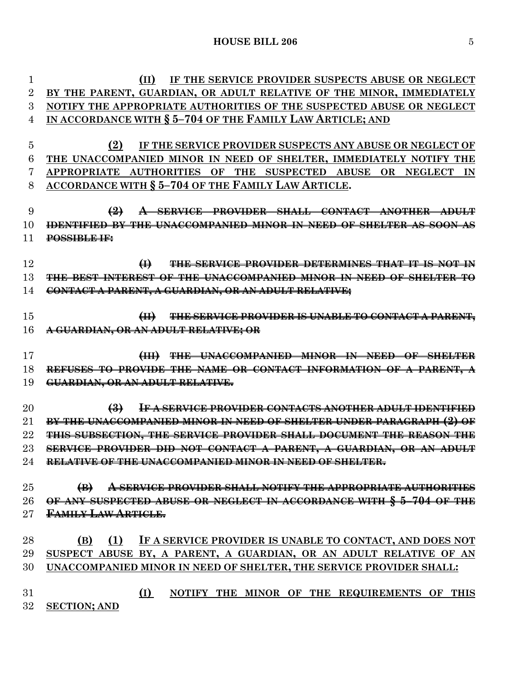**(II) IF THE SERVICE PROVIDER SUSPECTS ABUSE OR NEGLECT BY THE PARENT, GUARDIAN, OR ADULT RELATIVE OF THE MINOR, IMMEDIATELY NOTIFY THE APPROPRIATE AUTHORITIES OF THE SUSPECTED ABUSE OR NEGLECT IN ACCORDANCE WITH § 5–704 OF THE FAMILY LAW ARTICLE; AND (2) IF THE SERVICE PROVIDER SUSPECTS ANY ABUSE OR NEGLECT OF THE UNACCOMPANIED MINOR IN NEED OF SHELTER, IMMEDIATELY NOTIFY THE APPROPRIATE AUTHORITIES OF THE SUSPECTED ABUSE OR NEGLECT IN ACCORDANCE WITH § 5–704 OF THE FAMILY LAW ARTICLE. (2) A SERVICE PROVIDER SHALL CONTACT ANOTHER ADULT IDENTIFIED BY THE UNACCOMPANIED MINOR IN NEED OF SHELTER AS SOON AS POSSIBLE IF: (I) THE SERVICE PROVIDER DETERMINES THAT IT IS NOT IN THE BEST INTEREST OF THE UNACCOMPANIED MINOR IN NEED OF SHELTER TO CONTACT A PARENT, A GUARDIAN, OR AN ADULT RELATIVE; (II) THE SERVICE PROVIDER IS UNABLE TO CONTACT A PARENT, A GUARDIAN, OR AN ADULT RELATIVE; OR (III) THE UNACCOMPANIED MINOR IN NEED OF SHELTER REFUSES TO PROVIDE THE NAME OR CONTACT INFORMATION OF A PARENT, A GUARDIAN, OR AN ADULT RELATIVE. (3) IF A SERVICE PROVIDER CONTACTS ANOTHER ADULT IDENTIFIED BY THE UNACCOMPANIED MINOR IN NEED OF SHELTER UNDER PARAGRAPH (2) OF THIS SUBSECTION, THE SERVICE PROVIDER SHALL DOCUMENT THE REASON THE SERVICE PROVIDER DID NOT CONTACT A PARENT, A GUARDIAN, OR AN ADULT RELATIVE OF THE UNACCOMPANIED MINOR IN NEED OF SHELTER. (B) A SERVICE PROVIDER SHALL NOTIFY THE APPROPRIATE AUTHORITIES OF ANY SUSPECTED ABUSE OR NEGLECT IN ACCORDANCE WITH § 5–704 OF THE FAMILY LAW ARTICLE. (B) (1) IF A SERVICE PROVIDER IS UNABLE TO CONTACT, AND DOES NOT SUSPECT ABUSE BY, A PARENT, A GUARDIAN, OR AN ADULT RELATIVE OF AN UNACCOMPANIED MINOR IN NEED OF SHELTER, THE SERVICE PROVIDER SHALL: (I) NOTIFY THE MINOR OF THE REQUIREMENTS OF THIS SECTION; AND**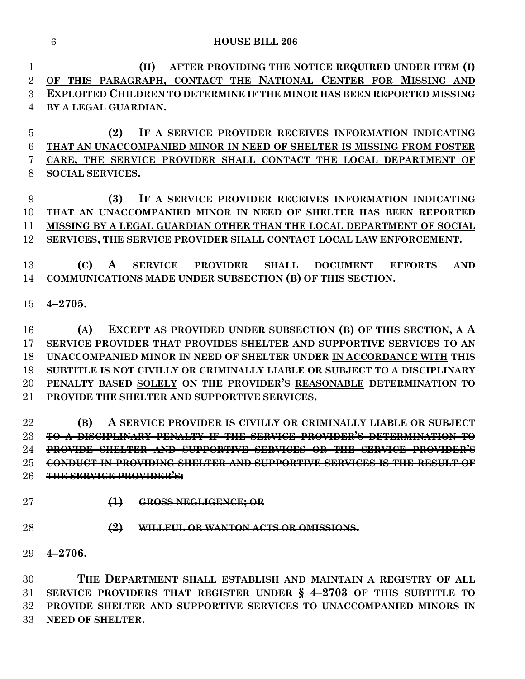#### **HOUSE BILL 206**

 **(II) AFTER PROVIDING THE NOTICE REQUIRED UNDER ITEM (I) OF THIS PARAGRAPH, CONTACT THE NATIONAL CENTER FOR MISSING AND EXPLOITED CHILDREN TO DETERMINE IF THE MINOR HAS BEEN REPORTED MISSING BY A LEGAL GUARDIAN.**

 **(2) IF A SERVICE PROVIDER RECEIVES INFORMATION INDICATING THAT AN UNACCOMPANIED MINOR IN NEED OF SHELTER IS MISSING FROM FOSTER CARE, THE SERVICE PROVIDER SHALL CONTACT THE LOCAL DEPARTMENT OF SOCIAL SERVICES.**

 **(3) IF A SERVICE PROVIDER RECEIVES INFORMATION INDICATING THAT AN UNACCOMPANIED MINOR IN NEED OF SHELTER HAS BEEN REPORTED MISSING BY A LEGAL GUARDIAN OTHER THAN THE LOCAL DEPARTMENT OF SOCIAL SERVICES, THE SERVICE PROVIDER SHALL CONTACT LOCAL LAW ENFORCEMENT.**

 **(C) A SERVICE PROVIDER SHALL DOCUMENT EFFORTS AND COMMUNICATIONS MADE UNDER SUBSECTION (B) OF THIS SECTION.**

**4–2705.**

 **(A) EXCEPT AS PROVIDED UNDER SUBSECTION (B) OF THIS SECTION, A A SERVICE PROVIDER THAT PROVIDES SHELTER AND SUPPORTIVE SERVICES TO AN UNACCOMPANIED MINOR IN NEED OF SHELTER UNDER IN ACCORDANCE WITH THIS SUBTITLE IS NOT CIVILLY OR CRIMINALLY LIABLE OR SUBJECT TO A DISCIPLINARY PENALTY BASED SOLELY ON THE PROVIDER'S REASONABLE DETERMINATION TO PROVIDE THE SHELTER AND SUPPORTIVE SERVICES.**

 **(B) A SERVICE PROVIDER IS CIVILLY OR CRIMINALLY LIABLE OR SUBJECT TO A DISCIPLINARY PENALTY IF THE SERVICE PROVIDER'S DETERMINATION TO PROVIDE SHELTER AND SUPPORTIVE SERVICES OR THE SERVICE PROVIDER'S CONDUCT IN PROVIDING SHELTER AND SUPPORTIVE SERVICES IS THE RESULT OF THE SERVICE PROVIDER'S:**

**(1) GROSS NEGLIGENCE; OR**

- **(2) WILLFUL OR WANTON ACTS OR OMISSIONS.**
- **4–2706.**

 **THE DEPARTMENT SHALL ESTABLISH AND MAINTAIN A REGISTRY OF ALL SERVICE PROVIDERS THAT REGISTER UNDER § 4–2703 OF THIS SUBTITLE TO PROVIDE SHELTER AND SUPPORTIVE SERVICES TO UNACCOMPANIED MINORS IN NEED OF SHELTER.**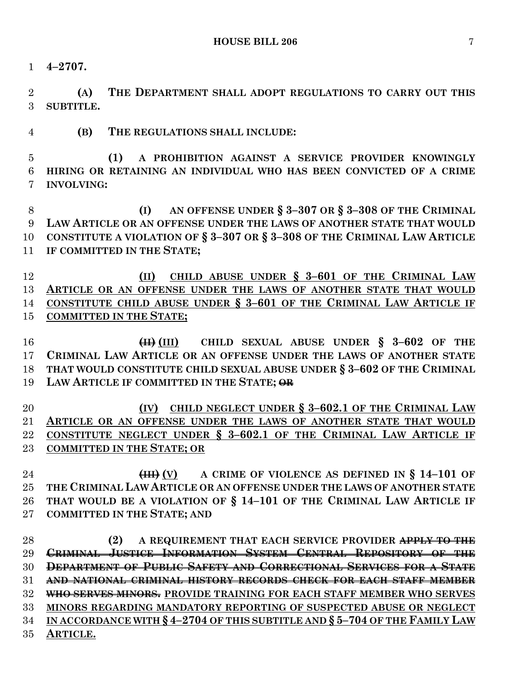**4–2707.**

 **(A) THE DEPARTMENT SHALL ADOPT REGULATIONS TO CARRY OUT THIS SUBTITLE.**

**(B) THE REGULATIONS SHALL INCLUDE:**

 **(1) A PROHIBITION AGAINST A SERVICE PROVIDER KNOWINGLY HIRING OR RETAINING AN INDIVIDUAL WHO HAS BEEN CONVICTED OF A CRIME INVOLVING:**

 **(I) AN OFFENSE UNDER § 3–307 OR § 3–308 OF THE CRIMINAL LAW ARTICLE OR AN OFFENSE UNDER THE LAWS OF ANOTHER STATE THAT WOULD CONSTITUTE A VIOLATION OF § 3–307 OR § 3–308 OF THE CRIMINAL LAW ARTICLE IF COMMITTED IN THE STATE;** 

 **(II) CHILD ABUSE UNDER § 3–601 OF THE CRIMINAL LAW ARTICLE OR AN OFFENSE UNDER THE LAWS OF ANOTHER STATE THAT WOULD CONSTITUTE CHILD ABUSE UNDER § 3–601 OF THE CRIMINAL LAW ARTICLE IF COMMITTED IN THE STATE;**

 **(II) (III) CHILD SEXUAL ABUSE UNDER § 3–602 OF THE CRIMINAL LAW ARTICLE OR AN OFFENSE UNDER THE LAWS OF ANOTHER STATE THAT WOULD CONSTITUTE CHILD SEXUAL ABUSE UNDER § 3–602 OF THE CRIMINAL LAW ARTICLE IF COMMITTED IN THE STATE; OR**

 **(IV) CHILD NEGLECT UNDER § 3–602.1 OF THE CRIMINAL LAW ARTICLE OR AN OFFENSE UNDER THE LAWS OF ANOTHER STATE THAT WOULD CONSTITUTE NEGLECT UNDER § 3–602.1 OF THE CRIMINAL LAW ARTICLE IF COMMITTED IN THE STATE; OR**

 **(III) (V) A CRIME OF VIOLENCE AS DEFINED IN § 14–101 OF THE CRIMINAL LAW ARTICLE OR AN OFFENSE UNDER THE LAWS OF ANOTHER STATE THAT WOULD BE A VIOLATION OF § 14–101 OF THE CRIMINAL LAW ARTICLE IF COMMITTED IN THE STATE; AND**

 **(2) A REQUIREMENT THAT EACH SERVICE PROVIDER APPLY TO THE CRIMINAL JUSTICE INFORMATION SYSTEM CENTRAL REPOSITORY OF THE DEPARTMENT OF PUBLIC SAFETY AND CORRECTIONAL SERVICES FOR A STATE AND NATIONAL CRIMINAL HISTORY RECORDS CHECK FOR EACH STAFF MEMBER WHO SERVES MINORS. PROVIDE TRAINING FOR EACH STAFF MEMBER WHO SERVES MINORS REGARDING MANDATORY REPORTING OF SUSPECTED ABUSE OR NEGLECT IN ACCORDANCE WITH § 4–2704 OF THIS SUBTITLE AND § 5–704 OF THE FAMILY LAW ARTICLE.**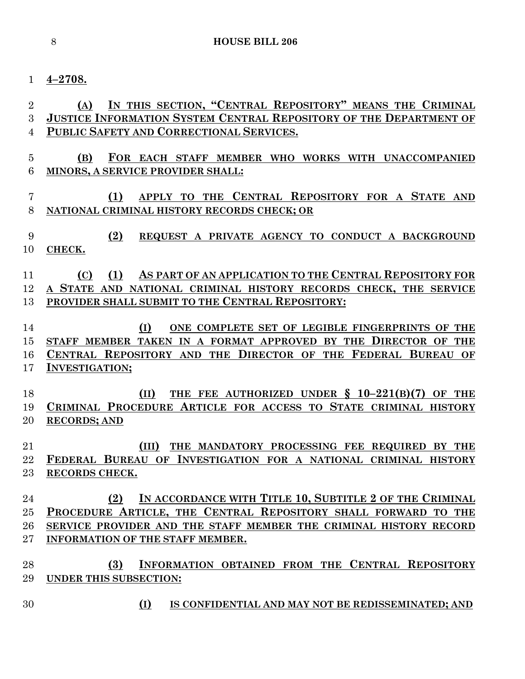#### **4–2708.**

# **(A) IN THIS SECTION, "CENTRAL REPOSITORY" MEANS THE CRIMINAL JUSTICE INFORMATION SYSTEM CENTRAL REPOSITORY OF THE DEPARTMENT OF PUBLIC SAFETY AND CORRECTIONAL SERVICES.**

- **(B) FOR EACH STAFF MEMBER WHO WORKS WITH UNACCOMPANIED MINORS, A SERVICE PROVIDER SHALL:**
- **(1) APPLY TO THE CENTRAL REPOSITORY FOR A STATE AND NATIONAL CRIMINAL HISTORY RECORDS CHECK; OR**
- **(2) REQUEST A PRIVATE AGENCY TO CONDUCT A BACKGROUND CHECK.**
- **(C) (1) AS PART OF AN APPLICATION TO THE CENTRAL REPOSITORY FOR A STATE AND NATIONAL CRIMINAL HISTORY RECORDS CHECK, THE SERVICE PROVIDER SHALL SUBMIT TO THE CENTRAL REPOSITORY:**
- **(I) ONE COMPLETE SET OF LEGIBLE FINGERPRINTS OF THE STAFF MEMBER TAKEN IN A FORMAT APPROVED BY THE DIRECTOR OF THE CENTRAL REPOSITORY AND THE DIRECTOR OF THE FEDERAL BUREAU OF INVESTIGATION;**
- **(II) THE FEE AUTHORIZED UNDER § 10–221(B)(7) OF THE CRIMINAL PROCEDURE ARTICLE FOR ACCESS TO STATE CRIMINAL HISTORY RECORDS; AND**
- **(III) THE MANDATORY PROCESSING FEE REQUIRED BY THE FEDERAL BUREAU OF INVESTIGATION FOR A NATIONAL CRIMINAL HISTORY RECORDS CHECK.**
- **(2) IN ACCORDANCE WITH TITLE 10, SUBTITLE 2 OF THE CRIMINAL PROCEDURE ARTICLE, THE CENTRAL REPOSITORY SHALL FORWARD TO THE SERVICE PROVIDER AND THE STAFF MEMBER THE CRIMINAL HISTORY RECORD INFORMATION OF THE STAFF MEMBER.**
- **(3) INFORMATION OBTAINED FROM THE CENTRAL REPOSITORY UNDER THIS SUBSECTION:**
- **(I) IS CONFIDENTIAL AND MAY NOT BE REDISSEMINATED; AND**